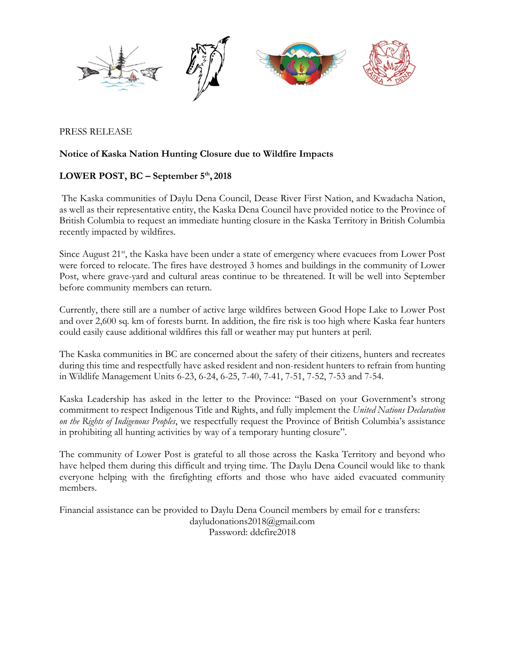

PRESS RELEASE

## **Notice of Kaska Nation Hunting Closure due to Wildfire Impacts**

## **LOWER POST, BC – September 5 th , 2018**

The Kaska communities of Daylu Dena Council, Dease River First Nation, and Kwadacha Nation, as well as their representative entity, the Kaska Dena Council have provided notice to the Province of British Columbia to request an immediate hunting closure in the Kaska Territory in British Columbia recently impacted by wildfires.

Since August 21<sup>st</sup>, the Kaska have been under a state of emergency where evacuees from Lower Post were forced to relocate. The fires have destroyed 3 homes and buildings in the community of Lower Post, where grave-yard and cultural areas continue to be threatened. It will be well into September before community members can return.

Currently, there still are a number of active large wildfires between Good Hope Lake to Lower Post and over 2,600 sq. km of forests burnt. In addition, the fire risk is too high where Kaska fear hunters could easily cause additional wildfires this fall or weather may put hunters at peril.

The Kaska communities in BC are concerned about the safety of their citizens, hunters and recreates during this time and respectfully have asked resident and non-resident hunters to refrain from hunting in Wildlife Management Units 6-23, 6-24, 6-25, 7-40, 7-41, 7-51, 7-52, 7-53 and 7-54.

Kaska Leadership has asked in the letter to the Province: "Based on your Government's strong commitment to respect Indigenous Title and Rights, and fully implement the *United Nations Declaration on the Rights of Indigenous Peoples*, we respectfully request the Province of British Columbia's assistance in prohibiting all hunting activities by way of a temporary hunting closure".

The community of Lower Post is grateful to all those across the Kaska Territory and beyond who have helped them during this difficult and trying time. The Daylu Dena Council would like to thank everyone helping with the firefighting efforts and those who have aided evacuated community members.

Financial assistance can be provided to Daylu Dena Council members by email for e transfers: dayludonations2018@gmail.com Password: ddcfire2018